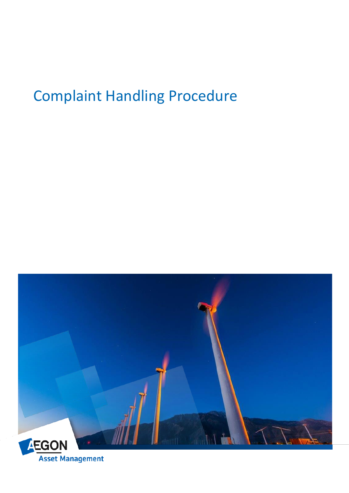

**Asset Management**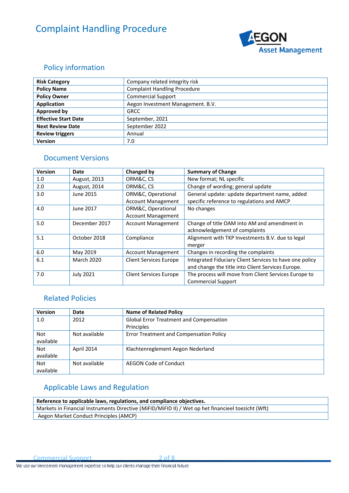

## <span id="page-1-0"></span>Policy information

| <b>Risk Category</b>        | Company related integrity risk      |
|-----------------------------|-------------------------------------|
| <b>Policy Name</b>          | <b>Complaint Handling Procedure</b> |
| <b>Policy Owner</b>         | <b>Commercial Support</b>           |
| <b>Application</b>          | Aegon Investment Management. B.V.   |
| Approved by                 | <b>GRCC</b>                         |
| <b>Effective Start Date</b> | September, 2021                     |
| <b>Next Review Date</b>     | September 2022                      |
| <b>Review triggers</b>      | Annual                              |
| <b>Version</b>              | 7.0                                 |

## <span id="page-1-1"></span>Document Versions

| <b>Version</b> | Date              | <b>Changed by</b>             | <b>Summary of Change</b>                                |
|----------------|-------------------|-------------------------------|---------------------------------------------------------|
| 1.0            | August, 2013      | ORM&C, CS                     | New format; NL specific                                 |
| 2.0            | August, 2014      | ORM&C, CS                     | Change of wording; general update                       |
| 3.0            | June 2015         | ORM&C, Operational            | General update: update department name, added           |
|                |                   | <b>Account Management</b>     | specific reference to regulations and AMCP              |
| 4.0            | June 2017         | ORM&C, Operational            | No changes                                              |
|                |                   | <b>Account Management</b>     |                                                         |
| 5.0            | December 2017     | <b>Account Management</b>     | Change of title OAM into AM and amendment in            |
|                |                   |                               | acknowledgement of complaints                           |
| 5.1            | October 2018      | Compliance                    | Alignment with TKP Investments B.V. due to legal        |
|                |                   |                               | merger                                                  |
| 6.0            | May 2019          | <b>Account Management</b>     | Changes in recording the complaints                     |
| 6.1            | <b>March 2020</b> | <b>Client Services Europe</b> | Integrated Fiduciary Client Services to have one policy |
|                |                   |                               | and change the title into Client Services Europe.       |
| 7.0            | <b>July 2021</b>  | <b>Client Services Europe</b> | The process will move from Client Services Europe to    |
|                |                   |                               | <b>Commercial Support</b>                               |

## <span id="page-1-2"></span>Related Policies

| <b>Version</b> | Date          | <b>Name of Related Policy</b>                  |
|----------------|---------------|------------------------------------------------|
| 1.0            | 2012          | <b>Global Error Treatment and Compensation</b> |
|                |               | Principles                                     |
| <b>Not</b>     | Not available | Error Treatment and Compensation Policy        |
| available      |               |                                                |
| Not            | April 2014    | Klachtenreglement Aegon Nederland              |
| available      |               |                                                |
| Not            | Not available | AEGON Code of Conduct                          |
| available      |               |                                                |

## <span id="page-1-3"></span>Applicable Laws and Regulation

| Reference to applicable laws, regulations, and compliance objectives.                              |  |  |
|----------------------------------------------------------------------------------------------------|--|--|
| Markets in Financial Instruments Directive (MiFID/MiFID II) / Wet op het financieel toezicht (Wft) |  |  |
| Aegon Market Conduct Principles (AMCP)                                                             |  |  |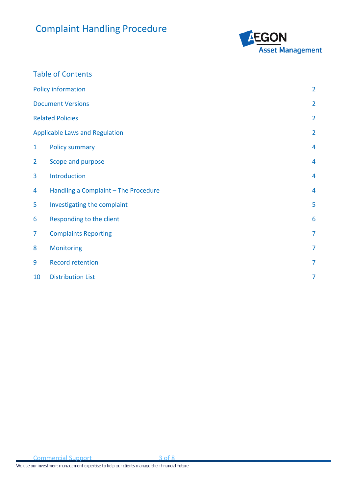

## Table of Contents

|                | <b>Policy information</b>             | $\overline{2}$ |
|----------------|---------------------------------------|----------------|
|                | <b>Document Versions</b>              | $\overline{2}$ |
|                | <b>Related Policies</b>               | $\overline{2}$ |
|                | <b>Applicable Laws and Regulation</b> | $\overline{2}$ |
| $\mathbf{1}$   | <b>Policy summary</b>                 | 4              |
| $\overline{2}$ | Scope and purpose                     | 4              |
| 3              | Introduction                          | 4              |
| 4              | Handling a Complaint - The Procedure  | $\overline{4}$ |
| 5              | Investigating the complaint           | 5              |
| 6              | Responding to the client              | 6              |
| 7              | <b>Complaints Reporting</b>           | $\overline{7}$ |
| 8              | Monitoring                            | $\overline{7}$ |
| 9              | <b>Record retention</b>               | 7              |
| 10             | <b>Distribution List</b>              | $\overline{7}$ |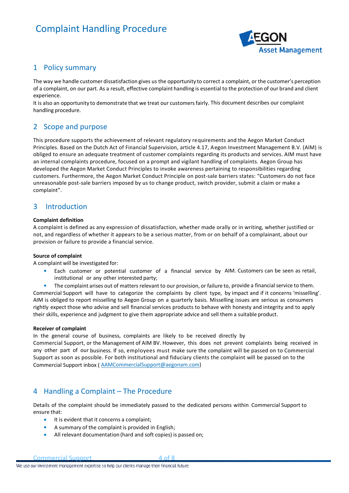

### <span id="page-3-0"></span>1 Policy summary

The way we handle customer dissatisfaction gives us the opportunity to correct a complaint, or the customer's perception of a complaint, on our part. As a result, effective complaint handling is essential to the protection of our brand and client experience.

It is also an opportunity to demonstrate that we treat our customersfairly. This document describes our complaint handling procedure.

## <span id="page-3-1"></span>2 Scope and purpose

This procedure supports the achievement of relevant regulatory requirements and the Aegon Market Conduct Principles. Based on the Dutch Act of Financial Supervision, article 4.17, Aegon Investment Management B.V. (AIM) is obliged to ensure an adequate treatment of customer complaints regarding its products and services. AIM must have an internal complaints procedure, focused on a prompt and vigilant handling of complaints. Aegon Group has developed the Aegon Market Conduct Principles to invoke awareness pertaining to responsibilities regarding customers. Furthermore, the Aegon Market Conduct Principle on post-sale barriers states: "Customers do not face unreasonable post-sale barriers imposed by us to change product, switch provider, submit a claim or make a complaint".

### <span id="page-3-2"></span>3 Introduction

#### **Complaint definition**

A complaint is defined as any expression of dissatisfaction, whether made orally or in writing, whether justified or not, and regardless of whether it appears to be a serious matter, from or on behalf of a complainant, about our provision or failure to provide a financial service.

#### **Source of complaint**

A complaint will be investigated for:

- Each customer or potential customer of a financial service by AIM. Customers can be seen as retail, institutional or any other interested party;
- The complaint arises out of matters relevant to our provision, or failure to, provide a financial service to them.

Commercial Support will have to categorize the complaints by client type, by impact and if it concerns 'misselling'. AIM is obliged to report misselling to Aegon Group on a quarterly basis. Misselling issues are serious as consumers rightly expect those who advise and sell financial services products to behave with honesty and integrity and to apply their skills, experience and judgment to give them appropriate advice and sell them a suitable product.

#### **Receiver of complaint**

In the general course of business, complaints are likely to be received directly by Commercial Support, or the Management of AIM BV. However, this does not prevent complaints being received in any other part of our business. If so, employees must make sure the complaint will be passed on to Commercial Support as soon as possible. For both institutional and fiduciary clients the complaint will be passed on to the Commercial Support inbox ( [AAMCommercialSupport@aegonam.com\)](mailto:AAMCommercialSupport@aegonam.com)

## <span id="page-3-3"></span>4 Handling a Complaint – The Procedure

Details of the complaint should be immediately passed to the dedicated persons within Commercial Support to ensure that:

- It is evident that it concerns a complaint;
- A summary of the complaint is provided in English;
- All relevant documentation (hard and soft copies) is passed on;

Commercial Support 4 of 8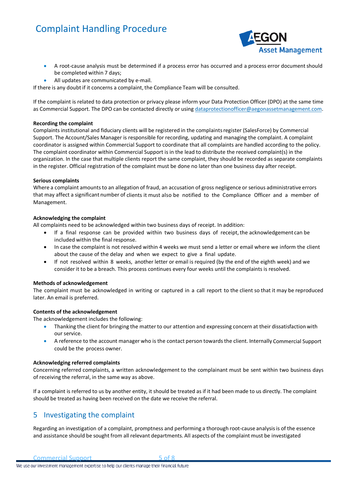

- A root-cause analysis must be determined if a process error has occurred and a process error document should be completed within 7 days;
- All updates are communicated by e-mail.

If there is any doubt if it concerns a complaint, the Compliance Team will be consulted.

If the complaint is related to data protection or privacy please inform your Data Protection Officer (DPO) at the same time as Commercial Support. The DPO can be contacted directly or usin[g dataprotectionofficer@aegonassetmanagement.com.](mailto:dataprotectionofficer@aegonassetmanagement.com)

#### **Recording the complaint**

Complaints institutional and fiduciary clients will be registered in the complaintsregister (SalesForce) by Commercial Support. The Account/Sales Manager is responsible for recording, updating and managing the complaint. A complaint coordinator is assigned within Commercial Support to coordinate that all complaints are handled according to the policy. The complaint coordinator within Commercial Support is in the lead to distribute the received complaint(s) in the organization. In the case that multiple clients report the same complaint, they should be recorded as separate complaints in the register. Official registration of the complaint must be done no later than one business day after receipt.

#### **Serious complaints**

Where a complaint amountsto an allegation of fraud, an accusation of gross negligence or serious administrative errors that may affect a significant number of clients it must also be notified to the Compliance Officer and a member of Management.

#### **Acknowledging the complaint**

All complaints need to be acknowledged within two business days of receipt. In addition:

- If a final response can be provided within two business days of receipt, the acknowledgement can be included within the final response.
- In case the complaint is not resolved within 4 weeks we must send a letter or email where we inform the client about the cause of the delay and when we expect to give a final update.
- If not resolved within 8 weeks, another letter or email is required (by the end of the eighth week) and we considerit to be a breach. This process continues every four weeks until the complaints is resolved.

#### **Methods of acknowledgement**

The complaint must be acknowledged in writing or captured in a call report to the client so that it may be reproduced later. An email is preferred.

#### **Contents of the acknowledgement**

The acknowledgement includes the following:

- Thanking the client for bringing the matter to our attention and expressing concern at their dissatisfaction with our service.
- A reference to the account manager who is the contact person towardsthe client. Internally Commercial Support could be the process owner.

#### **Acknowledging referred complaints**

Concerning referred complaints, a written acknowledgement to the complainant must be sent within two business days of receiving the referral, in the same way as above.

If a complaint is referred to us by another entity, it should be treated as if it had been made to us directly. The complaint should be treated as having been received on the date we receive the referral.

## <span id="page-4-0"></span>5 Investigating the complaint

Regarding an investigation of a complaint, promptness and performing a thorough root-cause analysisis of the essence and assistance should be sought from all relevant departments. All aspects of the complaint must be investigated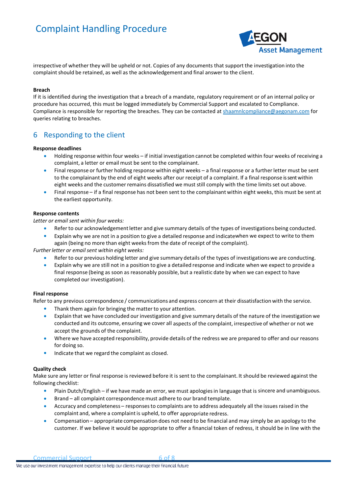

irrespective of whether they will be upheld or not. Copies of any documents that support the investigation into the complaint should be retained, as well as the acknowledgement and final answer to the client.

#### **Breach**

If it is identified during the investigation that a breach of a mandate, regulatory requirement or of an internal policy or procedure has occurred, this must be logged immediately by Commercial Support and escalated to Compliance. Compliance is responsible for reporting the breaches. They can be contacted a[t shaamnlcompliance@aegonam.com](mailto:shaamnlcompliance@aegonam.com) for queries relating to breaches.

## <span id="page-5-0"></span>6 Responding to the client

#### **Response deadlines**

- Holding response within four weeks if initial investigation cannot be completed within four weeks of receiving a complaint, a letter or email must be sent to the complainant.
- Final response or further holding response within eight weeks a final response or a further letter must be sent to the complainant by the end of eight weeks after our receipt of a complaint. If a final response is sent within eight weeks and the customer remains dissatisfied we must still comply with the time limits set out above.
- Final response if a final response has not been sent to the complainant within eight weeks, this must be sent at the earliest opportunity.

#### **Response contents**

*Letter or email sent within four weeks:*

- Refer to our acknowledgementletter and give summary details of the types of investigations being conducted.
- Explain why we are not in a position to give a detailed response and indicatewhen we expect to write to them again (being no more than eight weeksfrom the date of receipt of the complaint).

*Further letter or emailsent within eight weeks:*

- Refer to our previous holding letter and give summary details of the types of investigations we are conducting.
- Explain why we are still not in a position to give a detailed response and indicate when we expect to provide a final response (being as soon as reasonably possible, but a realistic date by when we can expect to have completed our investigation).

#### **Final response**

Refer to any previous correspondence / communications and express concern at their dissatisfaction with the service.

- Thank them again for bringing the matter to your attention.
- Explain that we have concluded our investigation and give summary details of the nature of the investigation we conducted and its outcome, ensuring we cover all aspects of the complaint, irrespective of whether or not we accept the grounds of the complaint.
- Where we have accepted responsibility, provide details of the redress we are prepared to offer and our reasons for doing so.
- Indicate that we regard the complaint as closed.

#### **Quality check**

Make sure any letter or final response is reviewed before it is sent to the complainant. It should be reviewed against the following checklist:

- Plain Dutch/English if we have made an error, we must apologiesin language that is sincere and unambiguous.
- Brand all complaint correspondencemust adhere to our brand template.
- Accuracy and completeness responsesto complaints are to address adequately all the issues raised in the complaint and, where a complaintis upheld, to offer appropriate redress.
- Compensation appropriate compensation does not need to be financial and may simply be an apology to the customer. If we believe it would be appropriate to offer a financial token of redress, it should be in line with the

Commercial Support 6 of 8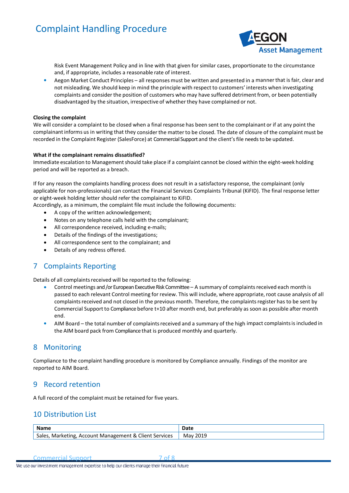

Risk Event Management Policy and in line with that given for similar cases, proportionate to the circumstance and, if appropriate, includes a reasonable rate of interest.

• Aegon Market Conduct Principles – all responses must be written and presented in a mannerthat is fair, clear and not misleading. We should keep in mind the principle with respect to customers' interests when investigating complaints and consider the position of customers who may have suffered detriment from, or been potentially disadvantaged by the situation, irrespective of whetherthey have complained or not.

#### **Closing the complaint**

We will consider a complaint to be closed when a final response has been sent to the complainant or if at any point the complainant informs us in writing that they consider the matter to be closed. The date of closure of the complaint must be recorded in the Complaint Register (SalesForce) at Commercial Support and the client'sfile needs to be updated.

#### **What if the complainant remains dissatisfied?**

Immediate escalation to Managementshould take place if a complaint cannot be closed within the eight-week holding period and will be reported as a breach.

If for any reason the complaints handling process does not result in a satisfactory response, the complainant (only applicable for non-professionals) can contact the Financial Services Complaints Tribunal (KiFID). The final response letter or eight-week holding letter should refer the complainant to KiFID.

- Accordingly, as a minimum, the complaint file must include the following documents:
	- A copy of the written acknowledgement;
	- Notes on any telephone calls held with the complainant;
	- All correspondence received, including e-mails;
	- Details of the findings of the investigations;
	- All correspondence sent to the complainant; and
	- Details of any redress offered.

## <span id="page-6-0"></span>7 Complaints Reporting

Details of all complaints received will be reported to the following:

- Control meetings and /or European Executive Risk Committee A summary of complaintsreceived each month is passed to each relevant Control meeting for review. This will include, where appropriate, root cause analysis of all complaints received and not closed in the previous month. Therefore, the complaints register has to be sent by Commercial Support to Compliance before t+10 after month end, but preferably as soon as possible after month end.
- AIM Board the total number of complaints received and a summary of the high impact complaints is included in the AIM board pack from Compliance that is produced monthly and quarterly.

### <span id="page-6-1"></span>8 Monitoring

Compliance to the complaint handling procedure is monitored by Compliance annually. Findings of the monitor are reported to AIM Board.

### <span id="page-6-2"></span>9 Record retention

<span id="page-6-3"></span>A full record of the complaint must be retained for five years.

## 10 Distribution List

| <b>Name</b>                                                                                                 | Dote<br>udlt |
|-------------------------------------------------------------------------------------------------------------|--------------|
| Client S<br>$\overline{\phantom{a}}$<br>؛ & ∶<br>Sales<br>Services<br>: Management<br>Marketing,<br>Account | 2019<br>Ma۱  |